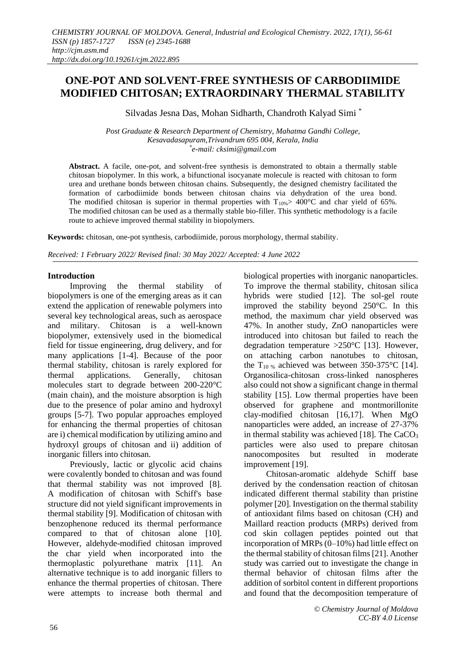# **ONE-POT AND SOLVENT-FREE SYNTHESIS OF CARBODIIMIDE MODIFIED CHITOSAN; EXTRAORDINARY THERMAL STABILITY**

Silvadas Jesna Das, Mohan Sidharth, Chandroth Kalyad Simi \*

*Post Graduate & Research Department of Chemistry, Mahatma Gandhi College, Kesavadasapuram,Trivandrum 695 004, Kerala, India \* e-mail: cksimi@gmail.com*

**Abstract.** A facile, one-pot, and solvent-free synthesis is demonstrated to obtain a thermally stable chitosan biopolymer. In this work, a bifunctional isocyanate molecule is reacted with chitosan to form urea and urethane bonds between chitosan chains. Subsequently, the designed chemistry facilitated the formation of carbodiimide bonds between chitosan chains via dehydration of the urea bond. The modified chitosan is superior in thermal properties with  $T_{10\%} > 400\degree$ C and char yield of 65%. The modified chitosan can be used as a thermally stable bio-filler. This synthetic methodology is a facile route to achieve improved thermal stability in biopolymers.

**Keywords:** chitosan, one-pot synthesis, carbodiimide, porous morphology, thermal stability.

*Received: 1 February 2022/ Revised final: 30 May 2022/ Accepted: 4 June 2022*

# **Introduction**

Improving the thermal stability of biopolymers is one of the emerging areas as it can extend the application of renewable polymers into several key technological areas, such as aerospace and military. Chitosan is a well-known biopolymer, extensively used in the biomedical field for tissue engineering, drug delivery, and for many applications [1-4]. Because of the poor thermal stability, chitosan is rarely explored for thermal applications. Generally, chitosan molecules start to degrade between 200-220°C (main chain), and the moisture absorption is high due to the presence of polar amino and hydroxyl groups [5-7]. Two popular approaches employed for enhancing the thermal properties of chitosan are i) chemical modification by utilizing amino and hydroxyl groups of chitosan and ii) addition of inorganic fillers into chitosan.

Previously, lactic or glycolic acid chains were covalently bonded to chitosan and was found that thermal stability was not improved [8]. A modification of chitosan with Schiff's base structure did not yield significant improvements in thermal stability [9]. Modification of chitosan with benzophenone reduced its thermal performance compared to that of chitosan alone [10]. However, aldehyde-modified chitosan improved the char yield when incorporated into the thermoplastic polyurethane matrix [11]. An alternative technique is to add inorganic fillers to enhance the thermal properties of chitosan. There were attempts to increase both thermal and biological properties with inorganic nanoparticles. To improve the thermal stability, chitosan silica hybrids were studied [12]. The sol-gel route improved the stability beyond 250°C. In this method, the maximum char yield observed was 47%. In another study, ZnO nanoparticles were introduced into chitosan but failed to reach the degradation temperature >250°C [13]. However, on attaching carbon nanotubes to chitosan, the T<sub>10 %</sub> achieved was between 350-375 °C [14]. Organosilica-chitosan cross-linked nanospheres also could not show a significant change in thermal stability [15]. Low thermal properties have been observed for graphene and montmorillonite clay-modified chitosan [16,17]. When MgO nanoparticles were added, an increase of 27-37% in thermal stability was achieved [18]. The  $CaCO<sub>3</sub>$ particles were also used to prepare chitosan nanocomposites but resulted in moderate improvement [19].

Chitosan-aromatic aldehyde Schiff base derived by the condensation reaction of chitosan indicated different thermal stability than pristine polymer [20]. Investigation on the thermal stability of antioxidant films based on chitosan (CH) and Maillard reaction products (MRPs) derived from cod skin collagen peptides pointed out that incorporation of MRPs (0–10%) had little effect on the thermal stability of chitosan films [21]. Another study was carried out to investigate the change in thermal behavior of chitosan films after the addition of sorbitol content in different proportions and found that the decomposition temperature of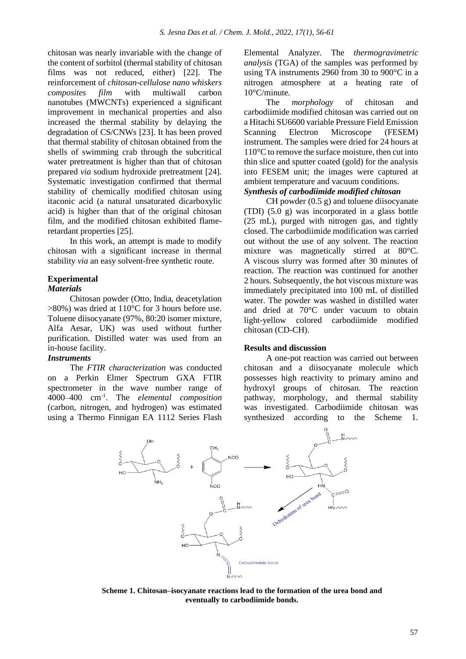chitosan was nearly invariable with the change of the content of sorbitol (thermal stability of chitosan films was not reduced, either) [22]. The reinforcement of *chitosan-cellulose nano whiskers composites film* with multiwall carbon nanotubes (MWCNTs) experienced a significant improvement in mechanical properties and also increased the thermal stability by delaying the degradation of CS/CNWs [23]. It has been proved that thermal stability of chitosan obtained from the shells of swimming crab through the subcritical water pretreatment is higher than that of chitosan prepared *via* sodium hydroxide pretreatment [24]. Systematic investigation confirmed that thermal stability of chemically modified chitosan using itaconic acid (a natural unsaturated dicarboxylic acid) is higher than that of the original chitosan film, and the modified chitosan exhibited flameretardant properties [25].

In this work, an attempt is made to modify chitosan with a significant increase in thermal stability *via* an easy solvent-free synthetic route.

#### **Experimental** *Materials*

Chitosan powder (Otto, India, deacetylation >80%) was dried at 110°C for 3 hours before use. Toluene diisocyanate (97%, 80:20 isomer mixture, Alfa Aesar, UK) was used without further purification. Distilled water was used from an in-house facility.

# *Instruments*

The *FTIR characterization* was conducted on a Perkin Elmer Spectrum GXA FTIR spectrometer in the wave number range of 4000–400 cm-1 . The *elemental composition* (carbon, nitrogen, and hydrogen) was estimated using a Thermo Finnigan EA 1112 Series Flash Elemental Analyzer. The *thermogravimetric analysis* (TGA) of the samples was performed by using TA instruments 2960 from 30 to 900°C in a nitrogen atmosphere at a heating rate of 10°C/minute.

The *morphology* of chitosan and carbodiimide modified chitosan was carried out on a Hitachi SU6600 variable Pressure Field Emission Scanning Electron Microscope (FESEM) instrument. The samples were dried for 24 hours at 110°C to remove the surface moisture, then cut into thin slice and sputter coated (gold) for the analysis into FESEM unit; the images were captured at ambient temperature and vacuum conditions. *Synthesis of carbodiimide modified chitosan*

CH powder (0.5 g) and toluene diisocyanate (TDI) (5.0 g) was incorporated in a glass bottle (25 mL), purged with nitrogen gas, and tightly closed. The carbodiimide modification was carried out without the use of any solvent. The reaction mixture was magnetically stirred at 80°C. A viscous slurry was formed after 30 minutes of reaction. The reaction was continued for another 2 hours. Subsequently, the hot viscous mixture was immediately precipitated into 100 mL of distilled water. The powder was washed in distilled water and dried at 70°C under vacuum to obtain light-yellow colored carbodiimide modified chitosan (CD-CH).

## **Results and discussion**

A one-pot reaction was carried out between chitosan and a diisocyanate molecule which possesses high reactivity to primary amino and hydroxyl groups of chitosan. The reaction pathway, morphology, and thermal stability was investigated. Carbodiimide chitosan was synthesized according to the Scheme 1.



**Scheme 1. Chitosan–isocyanate reactions lead to the formation of the urea bond and eventually to carbodiimide bonds.**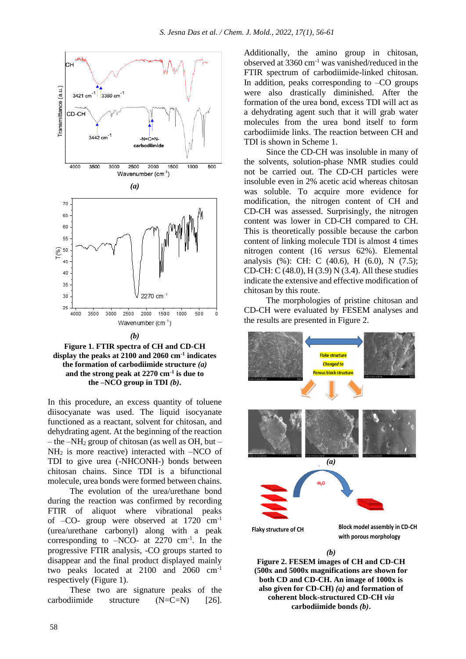



In this procedure, an excess quantity of toluene diisocyanate was used. The liquid isocyanate functioned as a reactant, solvent for chitosan, and dehydrating agent. At the beginning of the reaction – the –NH<sub>2</sub> group of chitosan (as well as OH, but –  $NH<sub>2</sub>$  is more reactive) interacted with  $-NCO$  of TDI to give urea (-NHCONH-) bonds between chitosan chains. Since TDI is a bifunctional molecule, urea bonds were formed between chains.

The evolution of the urea/urethane bond during the reaction was confirmed by recording FTIR of aliquot where vibrational peaks of –CO- group were observed at 1720 cm-1 (urea/urethane carbonyl) along with a peak corresponding to  $-NCO-$  at 2270 cm<sup>-1</sup>. In the progressive FTIR analysis, -CO groups started to disappear and the final product displayed mainly two peaks located at 2100 and 2060 cm-1 respectively (Figure 1).

These two are signature peaks of the carbodiimide structure  $(N=C=N)$  [26]. Additionally, the amino group in chitosan, observed at 3360 cm-1 was vanished/reduced in the FTIR spectrum of carbodiimide-linked chitosan. In addition, peaks corresponding to  $-CO$  groups were also drastically diminished. After the formation of the urea bond, excess TDI will act as a dehydrating agent such that it will grab water molecules from the urea bond itself to form carbodiimide links. The reaction between CH and TDI is shown in Scheme 1.

Since the CD-CH was insoluble in many of the solvents, solution-phase NMR studies could not be carried out. The CD-CH particles were insoluble even in 2% acetic acid whereas chitosan was soluble. To acquire more evidence for modification, the nitrogen content of CH and CD-CH was assessed. Surprisingly, the nitrogen content was lower in CD-CH compared to CH. This is theoretically possible because the carbon content of linking molecule TDI is almost 4 times nitrogen content (16 *versus* 62%). Elemental analysis (%): CH: C (40.6), H (6.0), N (7.5); CD-CH: C (48.0), H (3.9) N (3.4). All these studies indicate the extensive and effective modification of chitosan by this route.

The morphologies of pristine chitosan and CD-CH were evaluated by FESEM analyses and the results are presented in Figure 2.



**Figure 2. FESEM images of CH and CD-CH (500x and 5000x magnifications are shown for both CD and CD-CH. An image of 1000x is also given for CD-CH)** *(a)* **and formation of coherent block-structured CD-CH** *via*  **carbodiimide bonds** *(b)***.**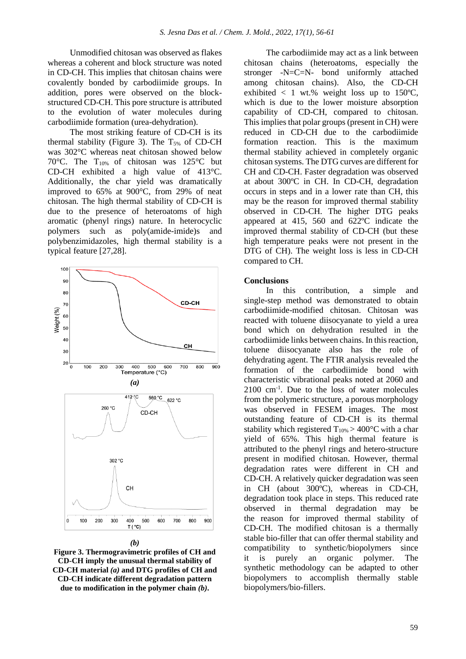Unmodified chitosan was observed as flakes whereas a coherent and block structure was noted in CD-CH. This implies that chitosan chains were covalently bonded by carbodiimide groups. In addition, pores were observed on the blockstructured CD-CH. This pore structure is attributed to the evolution of water molecules during carbodiimide formation (urea-dehydration).

The most striking feature of CD-CH is its thermal stability (Figure 3). The  $T_{5\%}$  of CD-CH was 302°C whereas neat chitosan showed below 70°C. The T10% of chitosan was 125°C but CD-CH exhibited a high value of 413°C. Additionally, the char yield was dramatically improved to 65% at 900°C, from 29% of neat chitosan. The high thermal stability of CD-CH is due to the presence of heteroatoms of high aromatic (phenyl rings) nature. In heterocyclic polymers such as poly(amide-imide)s and polybenzimidazoles, high thermal stability is a typical feature [27,28].



**Figure 3. Thermogravimetric profiles of CH and CD-CH imply the unusual thermal stability of CD-CH material** *(a)* **and DTG profiles of CH and CD-CH indicate different degradation pattern due to modification in the polymer chain** *(b)***.**

The carbodiimide may act as a link between chitosan chains (heteroatoms, especially the stronger -N=C=N- bond uniformly attached among chitosan chains). Also, the CD-CH exhibited  $\langle 1 \text{ wt.}\% \rangle$  weight loss up to 150°C. which is due to the lower moisture absorption capability of CD-CH, compared to chitosan. This implies that polar groups (present in CH) were reduced in CD-CH due to the carbodiimide formation reaction. This is the maximum thermal stability achieved in completely organic chitosan systems. The DTG curves are different for CH and CD-CH. Faster degradation was observed at about 300ºC in CH. In CD-CH, degradation occurs in steps and in a lower rate than CH, this may be the reason for improved thermal stability observed in CD-CH. The higher DTG peaks appeared at 415, 560 and 622ºC indicate the improved thermal stability of CD-CH (but these high temperature peaks were not present in the DTG of CH). The weight loss is less in CD-CH compared to CH.

## **Conclusions**

In this contribution, a simple and single-step method was demonstrated to obtain carbodiimide-modified chitosan. Chitosan was reacted with toluene diisocyanate to yield a urea bond which on dehydration resulted in the carbodiimide links between chains. In thisreaction, toluene diisocyanate also has the role of dehydrating agent. The FTIR analysis revealed the formation of the carbodiimide bond with characteristic vibrational peaks noted at 2060 and 2100 cm-1 . Due to the loss of water molecules from the polymeric structure, a porous morphology was observed in FESEM images. The most outstanding feature of CD-CH is its thermal stability which registered  $T_{10\%} > 400\degree C$  with a char yield of 65%. This high thermal feature is attributed to the phenyl rings and hetero-structure present in modified chitosan. However, thermal degradation rates were different in CH and CD-CH. A relatively quicker degradation was seen in CH (about 300ºC), whereas in CD-CH, degradation took place in steps. This reduced rate observed in thermal degradation may be the reason for improved thermal stability of CD-CH. The modified chitosan is a thermally stable bio-filler that can offer thermal stability and compatibility to synthetic/biopolymers since it is purely an organic polymer. The synthetic methodology can be adapted to other biopolymers to accomplish thermally stable biopolymers/bio-fillers.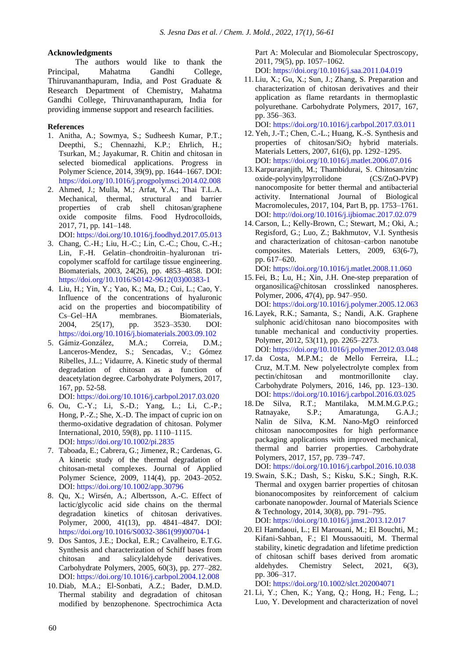#### **Acknowledgments**

The authors would like to thank the Principal, Mahatma Gandhi College, Thiruvananthapuram, India, and Post Graduate & Research Department of Chemistry, Mahatma Gandhi College, Thiruvananthapuram, India for providing immense support and research facilities.

#### **References**

- 1. Anitha, A.; Sowmya, S.; Sudheesh Kumar, P.T.; Deepthi, S.; Chennazhi, K.P.; Ehrlich, H.; Tsurkan, M.; Jayakumar, R. Chitin and chitosan in selected biomedical applications. Progress in Polymer Science, 2014, 39(9), pp. 1644–1667. DOI: <https://doi.org/10.1016/j.progpolymsci.2014.02.008>
- 2. Ahmed, J.; Mulla, M.; Arfat, Y.A.; Thai T.L.A. Mechanical, thermal, structural and barrier properties of crab shell chitosan/graphene oxide composite films. Food Hydrocolloids, 2017, 71, pp. 141–148.

DOI: <https://doi.org/10.1016/j.foodhyd.2017.05.013>

- 3. Chang, C.-H.; Liu, H.-C.; Lin, C.-C.; Chou, C.-H.; Lin, F.-H. [Gelatin–chondroitin–hyaluronan](https://www.sciencedirect.com/science/article/pii/S0142961203003831) tricopolymer scaffold for cartilage tissue [engineering.](https://www.sciencedirect.com/science/article/pii/S0142961203003831) Biomaterials, 2003, 24(26), pp. 4853–4858. DOI: [https://doi.org/10.1016/S0142-9612\(03\)00383-1](https://doi.org/10.1016/S0142-9612(03)00383-1)
- 4. Liu, H.; Yin, Y.; Yao, K.; Ma, D.; Cui, L.; Cao, Y. Influence of the concentrations of hyaluronic acid on the properties and biocompatibility of Cs–Gel–HA membranes. Biomaterials, 2004, 25(17), pp. 3523–3530. DOI: <https://doi.org/10.1016/j.biomaterials.2003.09.102>
- 5. Gámiz-González, M.A.; Correia, D.M.; Lanceros-Mendez, S.; Sencadas, V.; Gómez Ribelles, J.L.; Vidaurre, A. Kinetic study of thermal degradation of chitosan as a function of deacetylation degree. Carbohydrate Polymers, 2017, [167,](http://www.sciencedirect.com/science/journal/01448617/167/supp/C) pp. 52-58.

DOI: <https://doi.org/10.1016/j.carbpol.2017.03.020>

- 6. Ou, C.-Y.; Li, S.-D.; Yang, L.; Li, C.-P.; Hong, P.-Z.; She, X.-D. The impact of cupric ion on thermo-oxidative degradation of chitosan. Polymer International, 2010, 59(8), pp. 1110–1115. DOI: <https://doi.org/10.1002/pi.2835>
- 7. Taboada, E.; Cabrera, G.; Jimenez, R.; Cardenas, G. A kinetic study of the thermal degradation of chitosan-metal complexes. Journal of Applied Polymer Science, 2009, 114(4), pp. 2043–2052. DOI: <https://doi.org/10.1002/app.30796>
- 8. Qu, X.; Wirsén, A.; Albertsson, A.-C. [Effect](https://www.sciencedirect.com/science/article/pii/S0032386199007041) of [lactic/glycolic](https://www.sciencedirect.com/science/article/pii/S0032386199007041) acid side chains on the thermal [degradation](https://www.sciencedirect.com/science/article/pii/S0032386199007041) kinetics of chitosan derivatives. Polymer, 2000, 41(13), pp. 4841–4847. DOI: [https://doi.org/10.1016/S0032-3861\(99\)00704-1](https://doi.org/10.1016/S0032-3861(99)00704-1)
- 9. Dos Santos, J.E.; Dockal, E.R.; Cavalheiro, E.T.G. Synthesis and characterization of Schiff bases from chitosan and salicylaldehyde derivatives. Carbohydrate Polymers, 2005, 60(3), pp. 277–282. DOI: <https://doi.org/10.1016/j.carbpol.2004.12.008>
- 10. Diab, M.A.; El-Sonbati, A.Z.; Bader, D.M.D. Thermal stability and degradation of chitosan modified by benzophenone. Spectrochimica Acta

Part A: Molecular and Biomolecular Spectroscopy, 2011, 79(5), pp. 1057–1062. DOI: <https://doi.org/10.1016/j.saa.2011.04.019>

11. Liu, X.; Gu, X.; Sun, J.; Zhang, S. Preparation and characterization of chitosan derivatives and their application as flame retardants in thermoplastic polyurethane. Carbohydrate Polymers, 2017, 167, pp. 356–363.

DOI: <https://doi.org/10.1016/j.carbpol.2017.03.011>

- 12. Yeh, J.-T.; Chen, C.-L.; Huang, K.-S. [Synthesis](https://www.sciencedirect.com/science/article/pii/S0167577X06008123) and properties of chitosan/ $SiO<sub>2</sub>$  hybrid materials. Materials Letters, 2007, 61(6), pp. 1292–1295. DOI: <https://doi.org/10.1016/j.matlet.2006.07.016>
- 13. Karpuraranjith, M.; Thambidurai, S. Chitosan/zinc oxide-polyvinylpyrrolidone (CS/ZnO-PVP) nanocomposite for better thermal and antibacterial activity. International Journal of Biological Macromolecules, 2017, 104, Part B, pp. 1753–1761. DOI: <http://doi.org/10.1016/j.ijbiomac.2017.02.079>
- 14.Carson, L.; Kelly-Brown, C.; Stewart, M.; Oki, A.; Regisford, G.; Luo, Z.; Bakhmutov, V.I. [Synthesis](https://www.sciencedirect.com/science/article/pii/S0167577X08009889) and characterization of [chitosan–carbon](https://www.sciencedirect.com/science/article/pii/S0167577X08009889) nanotube [composites.](https://www.sciencedirect.com/science/article/pii/S0167577X08009889) Materials Letters, 2009, 63(6-7), pp. 617–620.

DOI: <https://doi.org/10.1016/j.matlet.2008.11.060> 15. Fei, B.; Lu, H.; Xin, J.H. One-step [preparation](https://www.sciencedirect.com/science/article/pii/S0032386105018240) of

- [organosilica@chitosan](https://www.sciencedirect.com/science/article/pii/S0032386105018240) crosslinked nanospheres. Polymer, 2006, 47(4), pp. 947–950. DOI: <https://doi.org/10.1016/j.polymer.2005.12.063>
- 16. Layek, R.K.; Samanta, S.; Nandi, A.K. [Graphene](https://www.sciencedirect.com/science/article/pii/S0032386112002856) sulphonic acid/chitosan nano [biocomposites](https://www.sciencedirect.com/science/article/pii/S0032386112002856) with tunable mechanical and [conductivity](https://www.sciencedirect.com/science/article/pii/S0032386112002856) properties. Polymer, 2012, 53(11), pp. 2265–2273. DOI: <https://doi.org/10.1016/j.polymer.2012.03.048>
- 17. da Costa, M.P.M.; de Mello Ferreira, I.L.; Cruz, M.T.M. New polyelectrolyte complex from pectin/chitosan and montmorillonite clay. Carbohydrate Polymers, 2016, 146, pp. 123–130. DOI: <https://doi.org/10.1016/j.carbpol.2016.03.025>
- 18. De Silva, R.T.; Mantilaka, M.M.M.G.P.G.; Ratnayake, S.P.; Amaratunga, G.A.J.; Nalin de Silva, K.M. Nano-MgO reinforced chitosan nanocomposites for high performance packaging applications with improved mechanical, thermal and barrier properties. Carbohydrate Polymers, 2017, 157, pp. 739–747. DOI: <https://doi.org/10.1016/j.carbpol.2016.10.038>
- 19. Swain, S.K.; Dash, S.; Kisku, S.K.; Singh, R.K. Thermal and oxygen barrier properties of chitosan bionanocomposites by reinforcement of calcium carbonate nanopowder. Journal of Materials Science & Technology, 2014, 30(8), pp. 791–795. DOI: <https://doi.org/10.1016/j.jmst.2013.12.017>
- 20. El Hamdaoui, L.; El Marouani, M.; El Bouchti, M.; Kifani-Sahban, F.; El Moussaouiti, M. Thermal stability, kinetic degradation and lifetime prediction of chitosan schiff bases derived from aromatic aldehydes. Chemistry Select, 2021, 6(3), pp. 306–317.

DOI: <https://doi.org/10.1002/slct.202004071>

21. Li, Y.; Chen, K.; Yang, Q.; Hong, H.; Feng, L.; Luo, Y. Development and characterization of novel